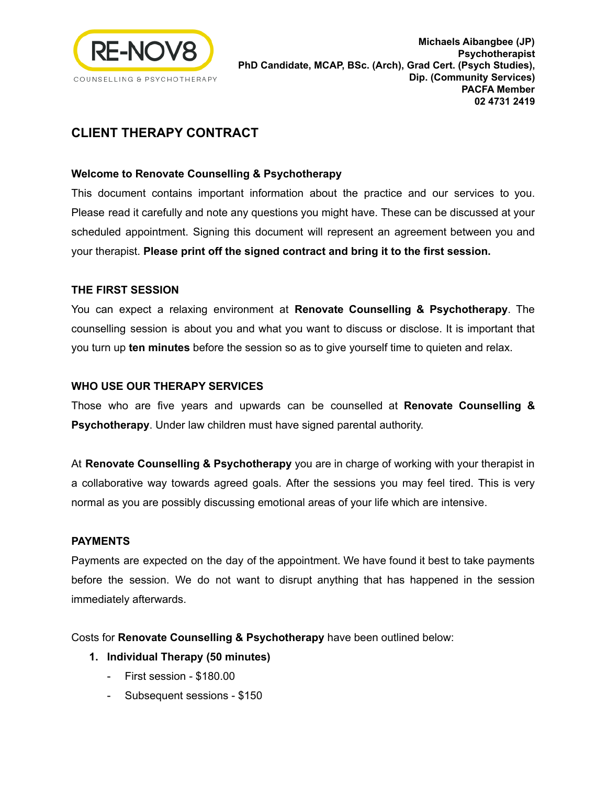

# **CLIENT THERAPY CONTRACT**

#### **Welcome to Renovate Counselling & Psychotherapy**

This document contains important information about the practice and our services to you. Please read it carefully and note any questions you might have. These can be discussed at your scheduled appointment. Signing this document will represent an agreement between you and your therapist. **Please print off the signed contract and bring it to the first session.**

#### **THE FIRST SESSION**

You can expect a relaxing environment at **Renovate Counselling & Psychotherapy**. The counselling session is about you and what you want to discuss or disclose. It is important that you turn up **ten minutes** before the session so as to give yourself time to quieten and relax.

#### **WHO USE OUR THERAPY SERVICES**

Those who are five years and upwards can be counselled at **Renovate Counselling & Psychotherapy**. Under law children must have signed parental authority.

At **Renovate Counselling & Psychotherapy** you are in charge of working with your therapist in a collaborative way towards agreed goals. After the sessions you may feel tired. This is very normal as you are possibly discussing emotional areas of your life which are intensive.

#### **PAYMENTS**

Payments are expected on the day of the appointment. We have found it best to take payments before the session. We do not want to disrupt anything that has happened in the session immediately afterwards.

Costs for **Renovate Counselling & Psychotherapy** have been outlined below:

- **1. Individual Therapy (50 minutes)**
	- First session \$180.00
	- Subsequent sessions \$150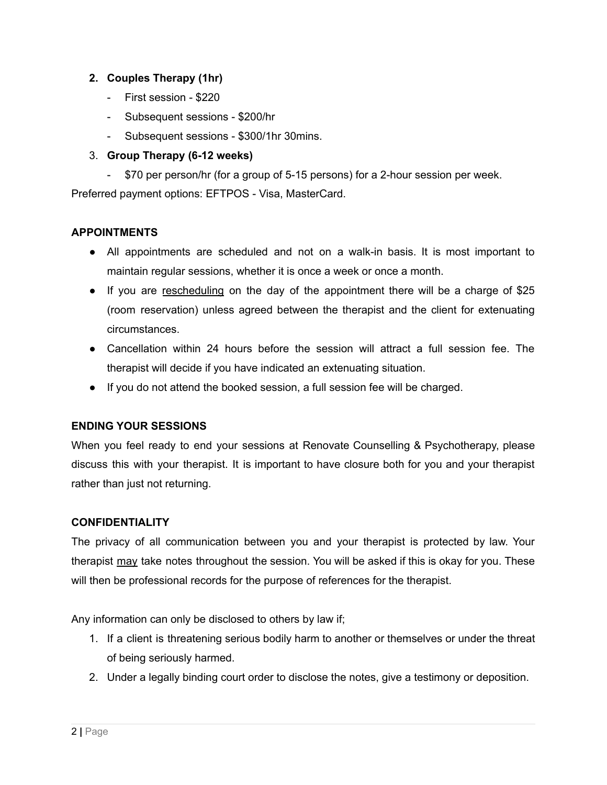#### **2. Couples Therapy (1hr)**

- First session \$220
- Subsequent sessions \$200/hr
- Subsequent sessions \$300/1hr 30mins.

## 3. **Group Therapy (6-12 weeks)**

- \$70 per person/hr (for a group of 5-15 persons) for a 2-hour session per week.

Preferred payment options: EFTPOS - Visa, MasterCard.

#### **APPOINTMENTS**

- All appointments are scheduled and not on a walk-in basis. It is most important to maintain regular sessions, whether it is once a week or once a month.
- If you are rescheduling on the day of the appointment there will be a charge of \$25 (room reservation) unless agreed between the therapist and the client for extenuating circumstances.
- Cancellation within 24 hours before the session will attract a full session fee. The therapist will decide if you have indicated an extenuating situation.
- If you do not attend the booked session, a full session fee will be charged.

#### **ENDING YOUR SESSIONS**

When you feel ready to end your sessions at Renovate Counselling & Psychotherapy, please discuss this with your therapist. It is important to have closure both for you and your therapist rather than just not returning.

#### **CONFIDENTIALITY**

The privacy of all communication between you and your therapist is protected by law. Your therapist may take notes throughout the session. You will be asked if this is okay for you. These will then be professional records for the purpose of references for the therapist.

Any information can only be disclosed to others by law if;

- 1. If a client is threatening serious bodily harm to another or themselves or under the threat of being seriously harmed.
- 2. Under a legally binding court order to disclose the notes, give a testimony or deposition.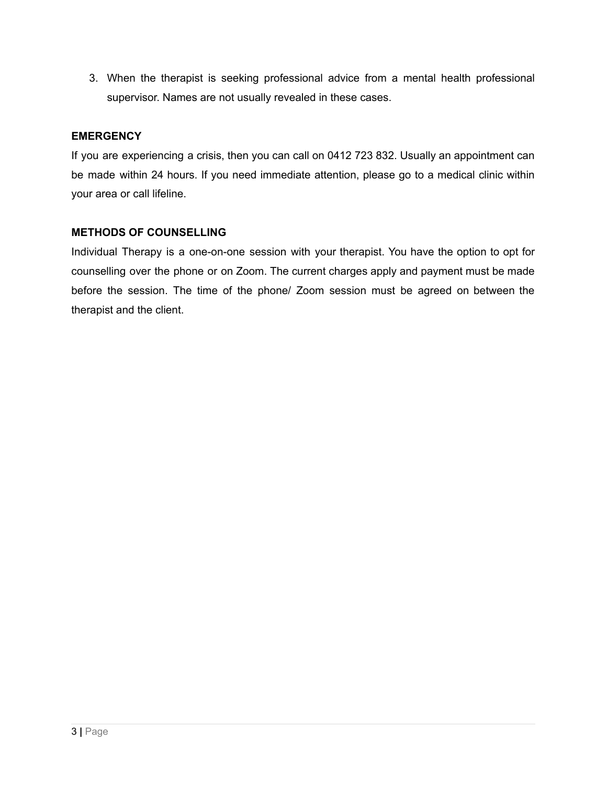3. When the therapist is seeking professional advice from a mental health professional supervisor. Names are not usually revealed in these cases.

## **EMERGENCY**

If you are experiencing a crisis, then you can call on 0412 723 832. Usually an appointment can be made within 24 hours. If you need immediate attention, please go to a medical clinic within your area or call lifeline.

#### **METHODS OF COUNSELLING**

Individual Therapy is a one-on-one session with your therapist. You have the option to opt for counselling over the phone or on Zoom. The current charges apply and payment must be made before the session. The time of the phone/ Zoom session must be agreed on between the therapist and the client.